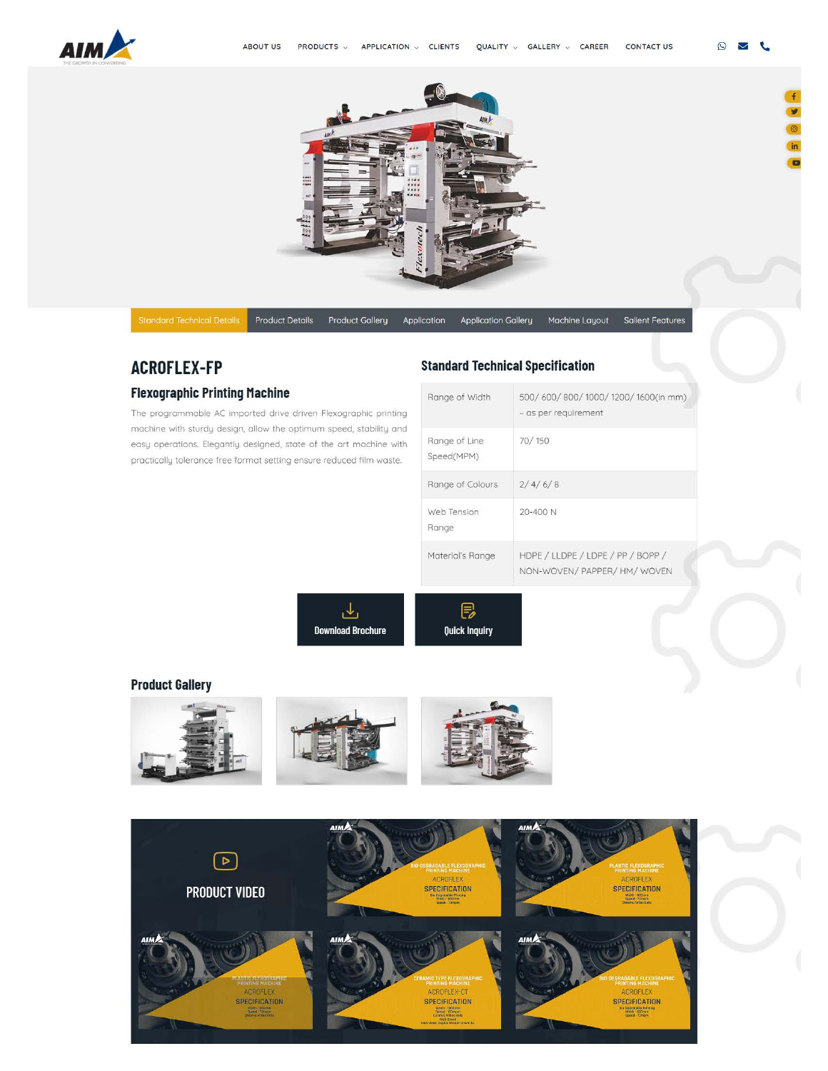



Product Details Product Gallery Application Application Gallery Machine Layout Salient Features

 $\odot$  $\overline{\smile}$ t.

# **ACROFLEX-FP**

# **Flexographic Printing Machine**

The programmable AC imported drive driven Flexographic printing machine with sturdy design, allow the optimum speed. stability and easy operations. Elegantly designed. state of the art machine with proctically tolerance free format setting ensure reduced film waste.

# **Standard Technical Specification**

| Range of Width              | 500/600/800/1000/1200/1600(in mm)<br>- as per requirement         |
|-----------------------------|-------------------------------------------------------------------|
| Range of Line<br>Speed(MPM) | 70/150                                                            |
| Range of Colours            | 2/4/6/8                                                           |
| Web Tension<br>Range        | $20 - 400N$                                                       |
| Material's Range            | HDPE / LLDPE / LDPE / PP / BOPP /<br>NON-WOVEN/ PAPPER/ HM/ WOVEN |

<u>طی</u> **Download Brochure** 

@ **Ouick Inquiry** 

# **[Product Gallery](https://www.aimflex.com/flexographic_printing_machine.html)**



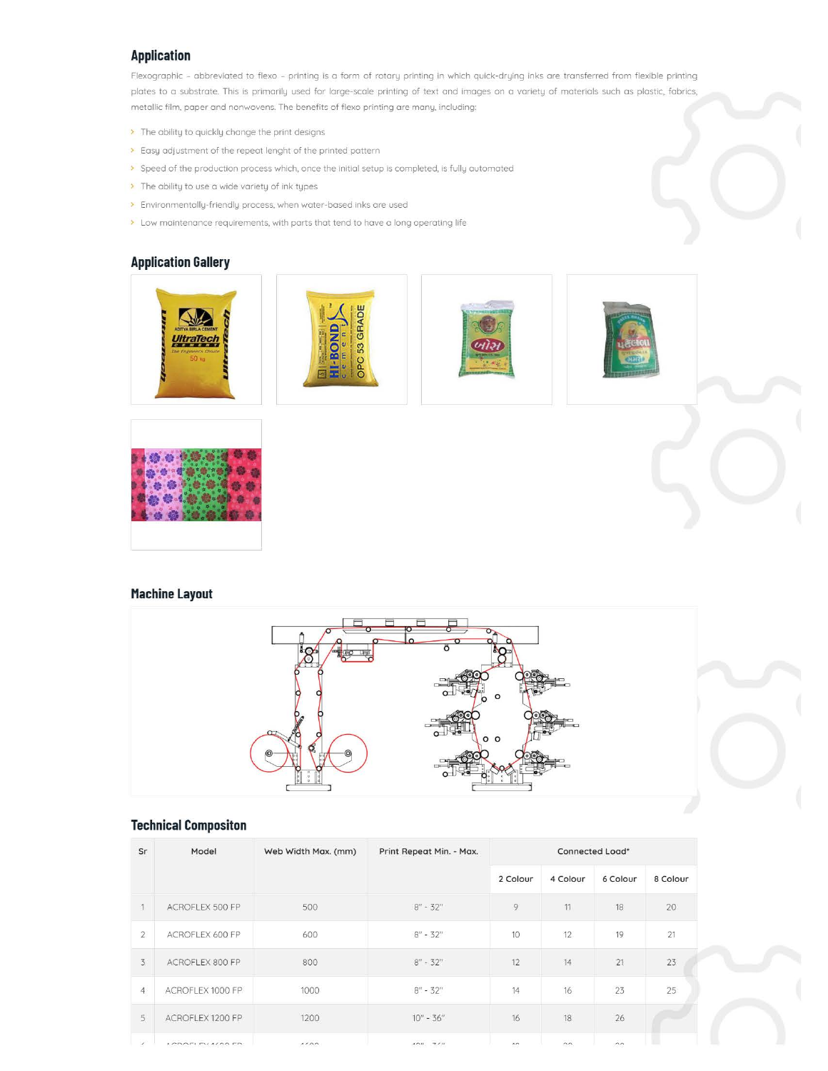# **Application**

Flexographic - abbreviated to flexo - printing is o form of rotary printing in which quick-drying inks are transferred from flexible printing [plates to a substrate. This is primarily used for large-scale printing of text and images on a variety of materials such as plastic. fabrics.](https://www.aimflex.com/flexographic_printing_machine.html)  metallic film, paper and nonwovens. The benefits of flexo printing are many, including:

- > The ability to quickly change the print designs
- > Easy adjustment of the repeat lenght of the printed pattern
- > Speed of the production process which, once the initial setup is completed, is fully automated
- > The ability to use a wide variety of ink types
- > Environmentally-friendly process. when water-based inks are used
- > Low maintenance requirements, with parts that tend to have a long operating life

#### **[Application Gallery](https://www.aimflex.com/flexographic_printing_machine.html)**











### **[Machine Layout](https://www.aimflex.com/flexographic_printing_machine.html)**



# **Technical Compositon**

| Sr             | Model             | Web Width Max. (mm) | Print Repeat Min. - Max.                  | Connected Load*      |          |          |          |
|----------------|-------------------|---------------------|-------------------------------------------|----------------------|----------|----------|----------|
|                |                   |                     |                                           | 2 Colour             | 4 Colour | 6 Colour | 8 Colour |
| 1              | ACROFLEX 500 FP   | 500                 | $8'' - 32''$                              | 9                    | 11       | 18       | 20       |
| $\overline{2}$ | ACROFLEX 600 FP   | 600                 | $8'' - 32''$                              | 10                   | 12       | 19       | 21       |
| 3              | ACROFLEX 800 FP   | 800                 | $8'' - 32''$                              | 12                   | 14       | 21       | 23       |
| $\overline{4}$ | ACROFLEX 1000 FP  | 1000                | $8'' - 32''$                              | 14                   | $16\,$   | 23       | 25       |
| 5              | ACROFLEX 1200 FP  | 1200                | $10'' - 36''$                             | 16                   | 18       | 26       |          |
| $\mathcal{L}$  | LODOFI FUALOO FD. | 1122                | $\mathcal{L} \cap H$ $\mathcal{R} \cap H$ | $\sim$ $-$<br>$\sim$ | $\sim$   | $\sim$   |          |